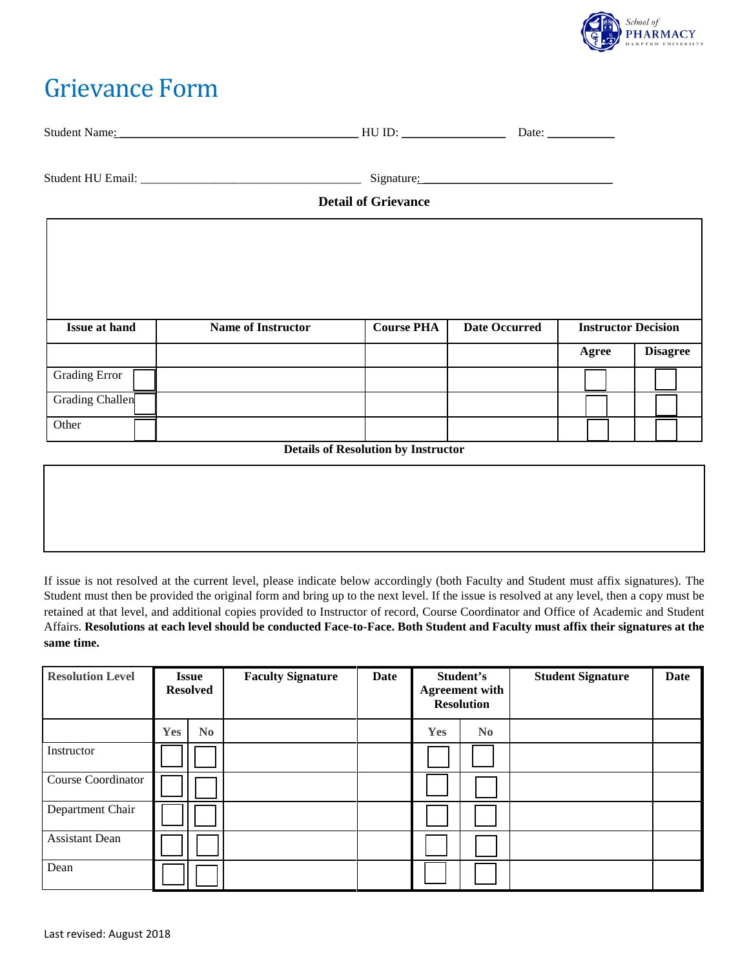

## Grievance Form

| Stude<br>Name<br>''' | ᅭ<br><br>$\sim$ | Jate<br>. |
|----------------------|-----------------|-----------|
|                      |                 |           |

Student HU Email: \_\_\_\_\_\_\_\_\_\_\_\_\_\_\_\_\_\_\_\_\_\_\_\_\_\_\_\_\_\_\_\_\_\_\_\_ Signature: \_\_\_\_\_\_\_\_\_\_\_\_\_\_\_\_\_\_\_\_\_\_\_\_\_\_\_\_\_\_\_

## **Detail of Grievance**

| <b>Issue at hand</b> | <b>Name of Instructor</b> | <b>Course PHA</b> | <b>Date Occurred</b> | <b>Instructor Decision</b> |                 |  |
|----------------------|---------------------------|-------------------|----------------------|----------------------------|-----------------|--|
|                      |                           |                   |                      | Agree                      | <b>Disagree</b> |  |
| <b>Grading Error</b> |                           |                   |                      |                            |                 |  |
| Grading Challen      |                           |                   |                      |                            |                 |  |
| Other                |                           |                   |                      |                            |                 |  |

**Details of Resolution by Instructor**

If issue is not resolved at the current level, please indicate below accordingly (both Faculty and Student must affix signatures). The Student must then be provided the original form and bring up to the next level. If the issue is resolved at any level, then a copy must be retained at that level, and additional copies provided to Instructor of record, Course Coordinator and Office of Academic and Student Affairs. **Resolutions at each level should be conducted Face-to-Face. Both Student and Faculty must affix their signatures at the same time.**

| <b>Resolution Level</b> | <b>Issue</b><br><b>Resolved</b> |                       | <b>Faculty Signature</b> | Date | Student's<br><b>Agreement with</b><br><b>Resolution</b> |          | <b>Student Signature</b> | Date |
|-------------------------|---------------------------------|-----------------------|--------------------------|------|---------------------------------------------------------|----------|--------------------------|------|
|                         | Yes                             | $\bf{N}$ <sub>0</sub> |                          |      | Yes                                                     | $\bf No$ |                          |      |
| Instructor              |                                 |                       |                          |      |                                                         |          |                          |      |
| Course Coordinator      |                                 |                       |                          |      |                                                         |          |                          |      |
| Department Chair        |                                 |                       |                          |      |                                                         |          |                          |      |
| <b>Assistant Dean</b>   |                                 |                       |                          |      |                                                         |          |                          |      |
| Dean                    |                                 |                       |                          |      |                                                         |          |                          |      |